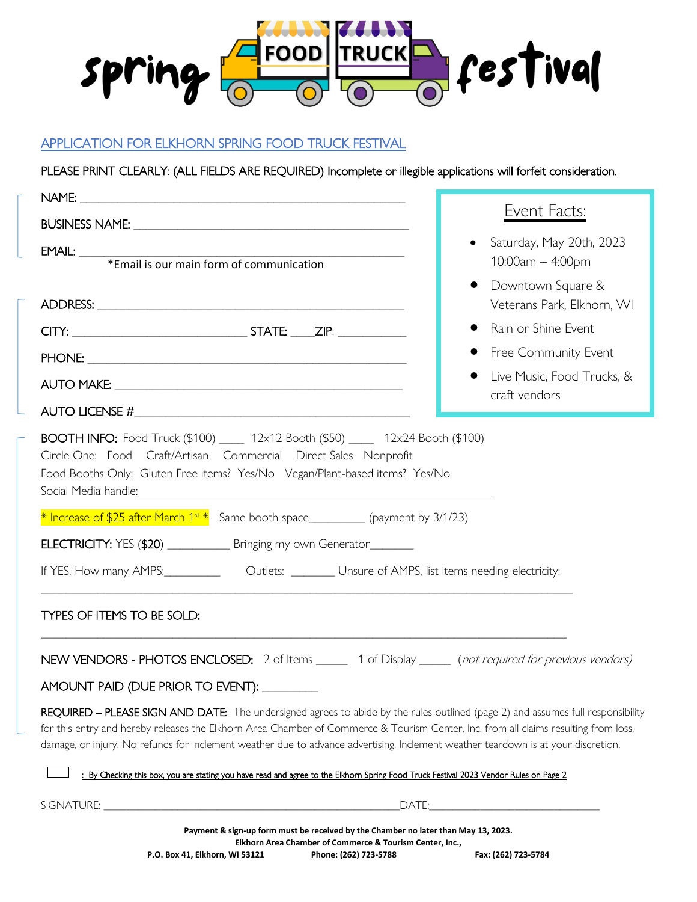

## APPLICATION FOR ELKHORN SPRING FOOD TRUCK FESTIVAL

PLEASE PRINT CLEARLY: (ALL FIELDS ARE REQUIRED) Incomplete or illegible applications will forfeit consideration.

|                                                                                                                                                                                                                                                                                                                                                                                                             | Event Facts:                                                                                                                                                                                                                   |  |
|-------------------------------------------------------------------------------------------------------------------------------------------------------------------------------------------------------------------------------------------------------------------------------------------------------------------------------------------------------------------------------------------------------------|--------------------------------------------------------------------------------------------------------------------------------------------------------------------------------------------------------------------------------|--|
| EMAIL:<br>*Email is our main form of communication                                                                                                                                                                                                                                                                                                                                                          | Saturday, May 20th, 2023<br>$\bullet$<br>10:00am - 4:00pm                                                                                                                                                                      |  |
|                                                                                                                                                                                                                                                                                                                                                                                                             | Downtown Square &<br>Veterans Park, Elkhorn, WI                                                                                                                                                                                |  |
|                                                                                                                                                                                                                                                                                                                                                                                                             | Rain or Shine Event                                                                                                                                                                                                            |  |
|                                                                                                                                                                                                                                                                                                                                                                                                             | Free Community Event                                                                                                                                                                                                           |  |
|                                                                                                                                                                                                                                                                                                                                                                                                             | Live Music, Food Trucks, &<br>craft vendors                                                                                                                                                                                    |  |
|                                                                                                                                                                                                                                                                                                                                                                                                             |                                                                                                                                                                                                                                |  |
| BOOTH INFO: Food Truck (\$100) ____ 12x12 Booth (\$50) ____ 12x24 Booth (\$100)<br>Circle One: Food Craft/Artisan Commercial Direct Sales Nonprofit<br>Food Booths Only: Gluten Free items? Yes/No Vegan/Plant-based items? Yes/No<br>Social Media handle: <u>Contract Communication</u> and the contract of the contract of the contract of the contract of                                                |                                                                                                                                                                                                                                |  |
| $*$ Increase of \$25 after March $1^{st}*$ Same booth space__________ (payment by 3/1/23)                                                                                                                                                                                                                                                                                                                   |                                                                                                                                                                                                                                |  |
| ELECTRICITY: YES (\$20) _____________ Bringing my own Generator________                                                                                                                                                                                                                                                                                                                                     |                                                                                                                                                                                                                                |  |
| If YES, How many AMPS: _____________ Outlets: __________ Unsure of AMPS, list items needing electricity:                                                                                                                                                                                                                                                                                                    |                                                                                                                                                                                                                                |  |
| TYPES OF ITEMS TO BE SOLD:                                                                                                                                                                                                                                                                                                                                                                                  |                                                                                                                                                                                                                                |  |
| NEW VENDORS - PHOTOS ENCLOSED: 2 of Items _____ 1 of Display _____ (not required for previous vendors)                                                                                                                                                                                                                                                                                                      |                                                                                                                                                                                                                                |  |
| AMOUNT PAID (DUE PRIOR TO EVENT): _________                                                                                                                                                                                                                                                                                                                                                                 |                                                                                                                                                                                                                                |  |
| REQUIRED - PLEASE SIGN AND DATE: The undersigned agrees to abide by the rules outlined (page 2) and assumes full responsibility<br>for this entry and hereby releases the Elkhorn Area Chamber of Commerce & Tourism Center, Inc. from all claims resulting from loss,<br>damage, or injury. No refunds for inclement weather due to advance advertising. Inclement weather teardown is at your discretion. |                                                                                                                                                                                                                                |  |
| : By Checking this box, you are stating you have read and agree to the Elkhorn Spring Food Truck Festival 2023 Vendor Rules on Page 2                                                                                                                                                                                                                                                                       |                                                                                                                                                                                                                                |  |
|                                                                                                                                                                                                                                                                                                                                                                                                             | DATE: Note that the second contract of the second contract of the second contract of the second contract of the second contract of the second contract of the second contract of the second contract of the second contract of |  |
| Payment & sign-up form must be received by the Chamber no later than May 13, 2023.<br>Elkhorn Area Chamber of Commerce & Tourism Center, Inc.,                                                                                                                                                                                                                                                              |                                                                                                                                                                                                                                |  |